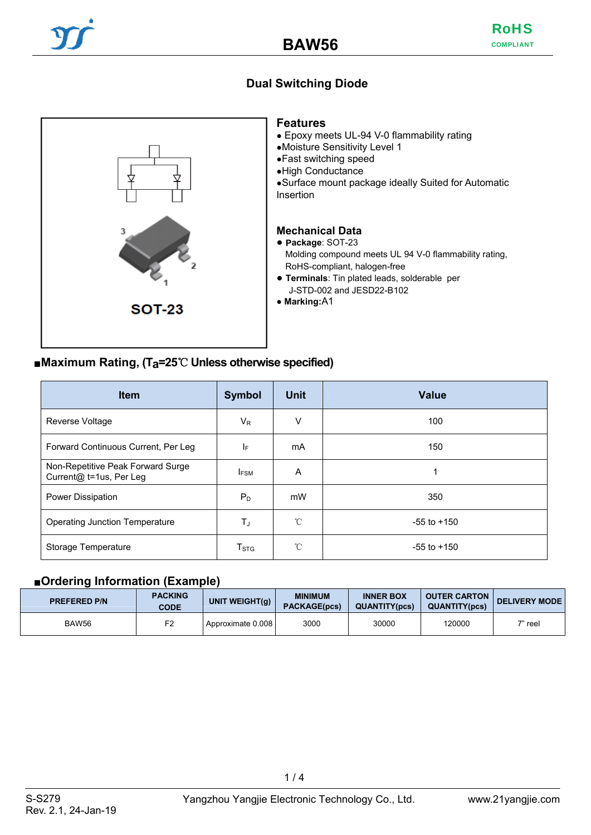## **Dual Switching Diode**



#### ■**Maximum Rating, (Ta=25**℃ **Unless otherwise specified)**

| <b>Item</b>                                                  | <b>Symbol</b>      | <b>Unit</b> | <b>Value</b>    |
|--------------------------------------------------------------|--------------------|-------------|-----------------|
| <b>Reverse Voltage</b>                                       | $V_{R}$            | V           | 100             |
| Forward Continuous Current, Per Leg                          | ΙF                 | mA          | 150             |
| Non-Repetitive Peak Forward Surge<br>Current@ t=1us, Per Leg | <b>IFSM</b>        | A           |                 |
| <b>Power Dissipation</b>                                     | $P_D$              | mW          | 350             |
| <b>Operating Junction Temperature</b>                        | TJ                 | °C          | $-55$ to $+150$ |
| Storage Temperature                                          | $T_{\mathrm{STG}}$ | °C          | $-55$ to $+150$ |

### ■**Ordering Information (Example)**

| <b>PREFERED P/N</b> | <b>PACKING</b><br><b>CODE</b> | UNIT WEIGHT(g)    | <b>MINIMUM</b><br><b>PACKAGE(pcs)</b> | <b>INNER BOX</b><br><b>QUANTITY(pcs)</b> | <b>OUTER CARTON</b><br><b>QUANTITY(pcs)</b> | <b>DELIVERY MODE</b> |
|---------------------|-------------------------------|-------------------|---------------------------------------|------------------------------------------|---------------------------------------------|----------------------|
| BAW56               | F <sub>2</sub>                | Approximate 0.008 | 3000                                  | 30000                                    | 120000                                      | $7"$ reel            |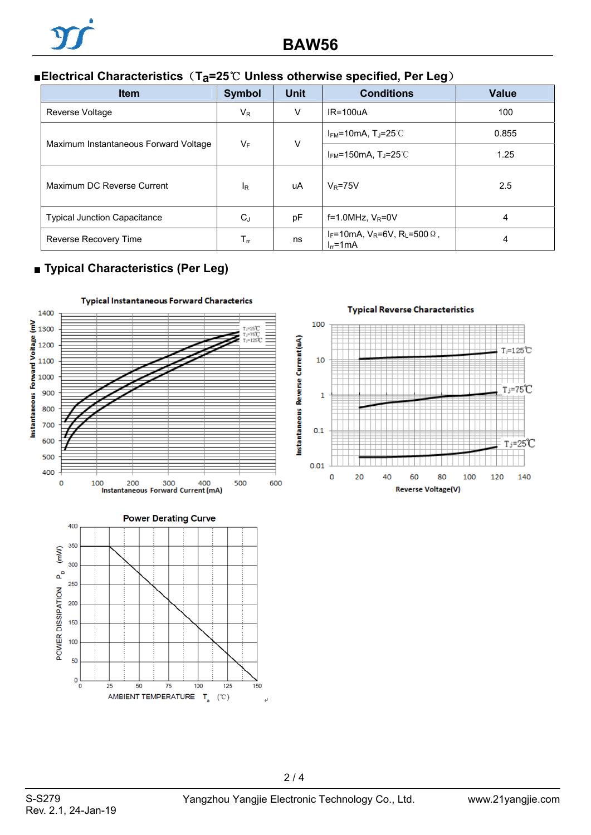# ■**Electrical Characteristics** (Ta=25℃ Unless otherwise specified, Per Leg)

| <b>Item</b>                           | <b>Symbol</b>              | <b>Unit</b> | <b>Conditions</b>                                                  | <b>Value</b> |
|---------------------------------------|----------------------------|-------------|--------------------------------------------------------------------|--------------|
| Reverse Voltage                       | $V_{\mathsf{R}}$           | V           | $IR = 100uA$                                                       | 100          |
| Maximum Instantaneous Forward Voltage | $V_F$                      | V           | $I_{FM}$ =10mA, T <sub>J</sub> =25°C                               | 0.855        |
|                                       |                            |             | $I_{FM}$ =150mA, T <sub>J</sub> =25°C                              | 1.25         |
| Maximum DC Reverse Current            | l <sub>R</sub>             | uA          | $V_R = 75V$                                                        | 2.5          |
| <b>Typical Junction Capacitance</b>   | $C_J$                      | pF          | f=1.0MHz, $V_R$ =0V                                                | 4            |
| Reverse Recovery Time                 | $\mathsf{T}_{\mathsf{rr}}$ | ns          | $I_F = 10 \text{mA}, V_R = 6V, R_L = 500 \Omega,$<br>$I_{rr}$ =1mA | 4            |

## ■ **Typical Characteristics (Per Leg)**







 $2/4$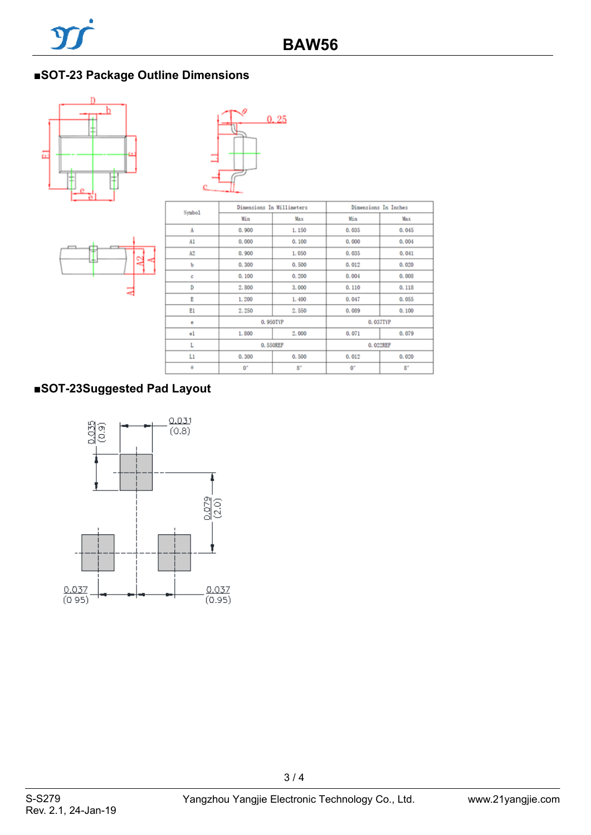# ■**SOT-23 Package Outline Dimensions**







| Symbo1 | Dimensions In Millimeters |             | Dimensions In Inches |             |  |
|--------|---------------------------|-------------|----------------------|-------------|--|
|        | Min                       | Max         | Min                  | Max         |  |
| A      | 0.900                     | 1.150       | 0.035                | 0.045       |  |
| A1     | 0.000                     | 0.100       | 0.000                | 0.004       |  |
| A2     | 0.900                     | 1.050       | 0,035                | 0.041       |  |
| p      | 0.300                     | 0.500       | 0.012                | 0.020       |  |
| ċ      | 0.100                     | 0.200       | 0.004                | 0.008       |  |
| D      | 2.800                     | 3.000       | 0.110                | 0.118       |  |
| E      | 1.200                     | 1,400       | 0.047                | 0.055       |  |
| E1     | 2.250                     | 2.550       | 0.089                | 0.100       |  |
| ė      | 0.950TYP                  |             | 0.037TYP             |             |  |
| e1     | 1.800                     | 2.000       | 0.071                | 0.079       |  |
| L      | 0.550REF                  |             | 0.022REF             |             |  |
| Lı     | 0.300                     | 0.500       | 0.012                | 0.020       |  |
| θ      | $0^{\circ}$               | $8^{\circ}$ | $0^{\circ}$          | $8^{\circ}$ |  |

# **■SOT-23Suggested Pad Layout**



3 / 4